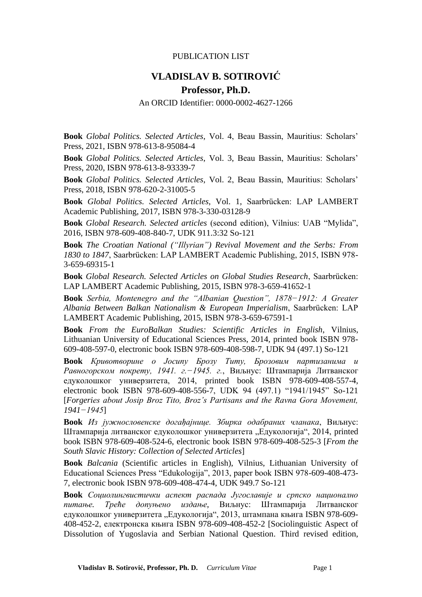## PUBLICATION LIST

## **VLADISLAV B. SOTIROVIĆ**

## **Professor, Ph.D.**

An ORCID Identifier: 0000-0002-4627-1266

**Book** *Global Politics. Selected Articles*, Vol. 4, Beau Bassin, Mauritius: Scholars' Press, 2021, ISBN 978-613-8-95084-4

**Book** *Global Politics. Selected Articles*, Vol. 3, Beau Bassin, Mauritius: Scholars' Press, 2020, ISBN 978-613-8-93339-7

**Book** *Global Politics. Selected Articles*, Vol. 2, Beau Bassin, Mauritius: Scholars' Press, 2018, ISBN 978-620-2-31005-5

**Book** *Global Politics. Selected Articles*, Vol. 1, Saarbrücken: LAP LAMBERT Academic Publishing, 2017, ISBN 978-3-330-03128-9

**Book** *Global Research. Selected articles* (second edition), Vilnius: UAB "Mylida", 2016, ISBN 978-609-408-840-7, UDK 911.3:32 So-121

**Book** *The Croatian National ("Illyrian") Revival Movement and the Serbs: From 1830 to 1847*, Saarbrücken: LAP LAMBERT Academic Publishing, 2015, ISBN 978- 3-659-69315-1

**Book** *Global Research. Selected Articles on Global Studies Research*, Saarbrücken: LAP LAMBERT Academic Publishing, 2015, ISBN 978-3-659-41652-1

**Book** *Serbia, Montenegro and the "Albanian Question", 1878−1912: A Greater Albania Between Balkan Nationalism & European Imperialism*, Saarbrücken: LAP LAMBERT Academic Publishing, 2015, ISBN 978-3-659-67591-1

**Book** *From the EuroBalkan Studies: Scientific Articles in English*, Vilnius, Lithuanian University of Educational Sciences Press, 2014, printed book ISBN 978- 609-408-597-0, electronic book ISBN 978-609-408-598-7, UDK 94 (497.1) So-121

**Book** *Кривотворине о Јосипу Брозу Титу, Брозовим партизанима и Равногорском покрету, 1941. г.−1945. г.*, Виљнус: Штампарија Литванског едуколошког универзитета, 2014, printed book ISBN 978-609-408-557-4, electronic book ISBN 978-609-408-556-7, UDK 94 (497.1) "1941/1945" So-121 [*Forgeries about Josip Broz Tito, Broz's Partisans and the Ravna Gora Movement, 1941−1945*]

**Book** *Из јужнословенске догађајнице. Збирка одабраних чланака*, Виљнус: Штампарија литванског едуколошког универзитета "Едукологија", 2014, printed book ISBN 978-609-408-524-6, electronic book ISBN 978-609-408-525-3 [*From the South Slavic History: Collection of Selected Articles*]

**Book** *Balcania* (Scientific articles in English), Vilnius, Lithuanian University of Educational Sciences Press "Edukologija", 2013, paper book ISBN 978-609-408-473- 7, electronic book ISBN 978-609-408-474-4, UDK 949.7 So-121

**Book** *Социолингвистички аспект распада Југославије и српско национално питање. Треће допуњено издање*, Виљнус: Штампарија Литванског едуколошког универзитета "Едукологија", 2013, штампана књига ISBN 978-609-408-452-2, електронска књига ISBN 978-609-408-452-2 [Sociolinguistic Aspect of Dissolution of Yugoslavia and Serbian National Question. Third revised edition,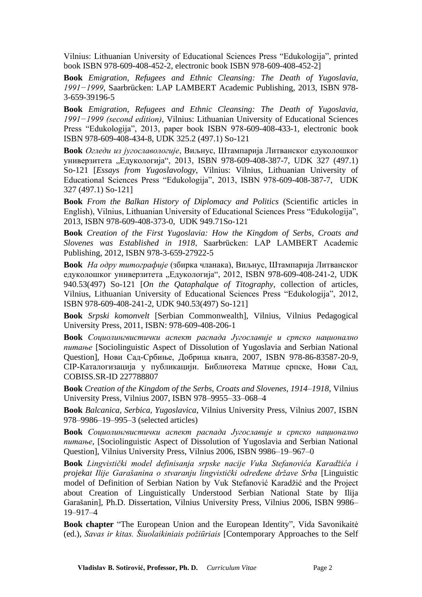Vilnius: Lithuanian University of Educational Sciences Press "Edukologija", printed book ISBN 978-609-408-452-2, electronic book ISBN 978-609-408-452-2]

**Book** *Emigration, Refugees and Ethnic Cleansing: The Death of Yugoslavia, 1991−1999*, Saarbrücken: LAP LAMBERT Academic Publishing, 2013, ISBN 978- 3-659-39196-5

**Book** *Emigration, Refugees and Ethnic Cleansing: The Death of Yugoslavia, 1991−1999 (second edition)*, Vilnius: Lithuanian University of Educational Sciences Press "Edukologija", 2013, paper book ISBN 978-609-408-433-1, electronic book ISBN 978-609-408-434-8, UDK 325.2 (497.1) So-121

**Book** *Огледи из југославологије*, Виљнус, Штампарија Литванског едуколошког универзитета "Едукологија", 2013, ISBN 978-609-408-387-7, UDK 327 (497.1) So-121 [*Essays from Yugoslavology*, Vilnius: Vilnius, Lithuanian University of Educational Sciences Press "Edukologija", 2013, ISBN 978-609-408-387-7, UDK 327 (497.1) So-121]

**Book** *From the Balkan History of Diplomacy and Politics* (Scientific articles in English), Vilnius, Lithuanian University of Educational Sciences Press "Edukologija", 2013, ISBN 978-609-408-373-0, UDK 949.71So-121

**Book** *Creation of the First Yugoslavia: How the Kingdom of Serbs, Croats and Slovenes was Established in 1918*, Saarbrücken: LAP LAMBERT Academic Publishing, 2012, ISBN 978-3-659-27922-5

**Book** *На одру титографије* (збирка чланака), Виљнус, Штампарија Литванског едуколошког универзитета "Едукологија", 2012, ISBN 978-609-408-241-2, UDK 940.53(497) So-121 [*On the Qataphalque of Titography*, collection of articles, Vilnius, Lithuanian University of Educational Sciences Press "Edukologija", 2012, ISBN 978-609-408-241-2, UDK 940.53(497) So-121]

**Book** *Srpski komonvelt* [Serbian Commonwealth], Vilnius, Vilnius Pedagogical University Press, 2011, ISBN: 978-609-408-206-1

**Book** *Социолингвистички аспект распада Југославије и српско национално питање* [Sociolinguistic Aspect of Dissolution of Yugoslavia and Serbian National Question], Нови Сад-Србиње, Добрица књига, 2007, ISBN 978-86-83587-20-9, CIP-Каталогизација у публикацији. Библиотека Матице српске, Нови Сад, COBISS.SR-ID 227788807

**Book** *Creation of the Kingdom of the Serbs, Croats and Slovenes, 1914–1918*, Vilnius University Press, Vilnius 2007, ISBN 978–9955–33–068–4

**Book** *Balcanica, Serbica, Yugoslavica*, Vilnius University Press, Vilnius 2007, ISBN 978–9986–19–995–3 (selected articles)

**Book** *Социолингвистички аспект распада Југославије и српско национално питање*, [Sociolinguistic Aspect of Dissolution of Yugoslavia and Serbian National Question], Vilnius University Press, Vilnius 2006, ISBN 9986–19–967–0

**Book** *Lingvistički model definisanja srpske nacije Vuka Stefanovića Karadžića i projekat Ilije Garašanina o stvaranju lingvistički određene države Srba* [Linguistic model of Definition of Serbian Nation by Vuk Stefanović Karadžić and the Project about Creation of Linguistically Understood Serbian National State by Ilija Garašanin], Ph.D. Dissertation, Vilnius University Press, Vilnius 2006, ISBN 9986– 19–917–4

**Book chapter** "The European Union and the European Identity", Vida Savonikaitė (ed.), *Savas ir kitas. Šiuolaikiniais požiūriais* [Contemporary Approaches to the Self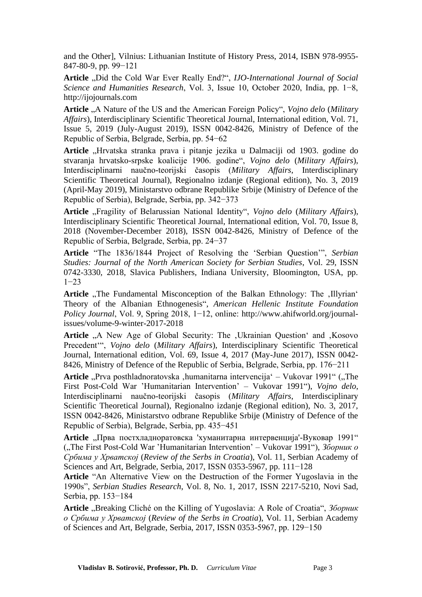and the Other], Vilnius: Lithuanian Institute of History Press, 2014, ISBN 978-9955- 847-80-9, pp. 99−121

Article "Did the Cold War Ever Really End?", *IJO-International Journal of Social Science and Humanities Research*, Vol. 3, Issue 10, October 2020, India, pp. 1−8, http://ijojournals.com

**Article** "A Nature of the US and the American Foreign Policy", *Vojno delo* (*Military Affairs*), Interdisciplinary Scientific Theoretical Journal, International edition, Vol. 71, Issue 5, 2019 (July-August 2019), ISSN 0042-8426, Ministry of Defence of the Republic of Serbia, Belgrade, Serbia, pp. 54−62

Article "Hrvatska stranka prava i pitanje jezika u Dalmaciji od 1903. godine do stvaranja hrvatsko-srpske koalicije 1906. godine", *Vojno delo* (*Military Affairs*), Interdisciplinarni naučno-teorijski časopis (*Military Affairs*, Interdisciplinary Scientific Theoretical Journal), Regionalno izdanje (Regional edition), No. 3, 2019 (April-May 2019), Ministarstvo odbrane Republike Srbije (Ministry of Defence of the Republic of Serbia), Belgrade, Serbia, pp. 342−373

Article "Fragility of Belarussian National Identity", Vojno delo (Military Affairs), Interdisciplinary Scientific Theoretical Journal, International edition, Vol. 70, Issue 8, 2018 (November-December 2018), ISSN 0042-8426, Ministry of Defence of the Republic of Serbia, Belgrade, Serbia, pp. 24−37

**Article** "The 1836/1844 Project of Resolving the 'Serbian Question'", *Serbian Studies: Journal of the North American Society for Serbian Studies*, Vol. 29, ISSN 0742-3330, 2018, Slavica Publishers, Indiana University, Bloomington, USA, pp. 1−23

Article "The Fundamental Misconception of the Balkan Ethnology: The .Illyrian' Theory of the Albanian Ethnogenesis", *American Hellenic Institute Foundation Policy Journal*, Vol. 9, Spring 2018, 1−12, online: http://www.ahifworld.org/journalissues/volume-9-winter-2017-2018

Article "A New Age of Global Security: The , Ukrainian Question' and , Kosovo Precedent'", *Vojno delo* (*Military Affairs*), Interdisciplinary Scientific Theoretical Journal, International edition, Vol. 69, Issue 4, 2017 (May-June 2017), ISSN 0042- 8426, Ministry of Defence of the Republic of Serbia, Belgrade, Serbia, pp. 176−211

Article "Prva posthladnoratovska ,humanitarna intervencija" – Vukovar 1991" ("The First Post-Cold War 'Humanitarian Intervention' – Vukovar 1991"), *Vojno delo*, Interdisciplinarni naučno-teorijski časopis (*Military Affairs*, Interdisciplinary Scientific Theoretical Journal), Regionalno izdanje (Regional edition), No. 3, 2017, ISSN 0042-8426, Ministarstvo odbrane Republike Srbije (Ministry of Defence of the Republic of Serbia), Belgrade, Serbia, pp. 435−451

Article "Прва постхладноратовска 'хуманитарна интервенција'-Вуковар 1991" ("The First Post-Cold War 'Humanitarian Intervention' – Vukovar 1991"), *Зборник о Србима у Хрватској* (*Review of the Serbs in Croatia*), Vol. 11, Serbian Academy of Sciences and Art, Belgrade, Serbia, 2017, ISSN 0353-5967, pp. 111−128

**Article** "An Alternative View on the Destruction of the Former Yugoslavia in the 1990s", *Serbian Studies Research*, Vol. 8, No. 1, 2017, ISSN 2217-5210, Novi Sad, Serbia, pp. 153−184

**Article** "Breaking Cliché on the Killing of Yugoslavia: A Role of Croatia", *Зборник о Србима у Хрватској* (*Review of the Serbs in Croatia*), Vol. 11, Serbian Academy of Sciences and Art, Belgrade, Serbia, 2017, ISSN 0353-5967, pp. 129−150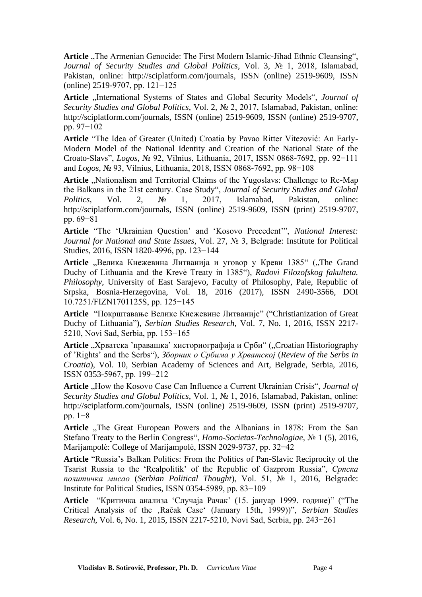Article "The Armenian Genocide: The First Modern Islamic-Jihad Ethnic Cleansing", *Journal of Security Studies and Global Politics*, Vol. 3, № 1, 2018, Islamabad, Pakistan, online: http://sciplatform.com/journals, ISSN (online) 2519-9609, ISSN (online) 2519-9707, pp. 121−125

Article "International Systems of States and Global Security Models", *Journal of Security Studies and Global Politics*, Vol. 2, № 2, 2017, Islamabad, Pakistan, online: http://sciplatform.com/journals, ISSN (online) 2519-9609, ISSN (online) 2519-9707, pp. 97−102

**Article** "The Idea of Greater (United) Croatia by Pavao Ritter Vitezović: An Early-Modern Model of the National Identity and Creation of the National State of the Croato-Slavs", *Logos*, № 92, Vilnius, Lithuania, 2017, ISSN 0868-7692, pp. 92−111 and *Logos*, № 93, Vilnius, Lithuania, 2018, ISSN 0868-7692, pp. 98−108

Article "Nationalism and Territorial Claims of the Yugoslavs: Challenge to Re-Map the Balkans in the 21st century. Case Study", *Journal of Security Studies and Global Politics*, Vol. 2, № 1, 2017, Islamabad, Pakistan, online: http://sciplatform.com/journals, ISSN (online) 2519-9609, ISSN (print) 2519-9707, pp. 69−81

**Article** "The 'Ukrainian Question' and 'Kosovo Precedent'", *National Interest: Journal for National and State Issues*, Vol. 27, № 3, Belgrade: Institute for Political Studies, 2016, ISSN 1820-4996, pp. 123−144

**Article** "Велика Кнежевина Литванија и уговор у Креви 1385" ("The Grand Duchy of Lithuania and the Krevė Treaty in 1385"), *Radovi Filozofskog fakulteta. Philosophy*, University of East Sarajevo, Faculty of Philosophy, Pale, Republic of Srpska, Bosnia-Herzegovina, Vol. 18, 2016 (2017), ISSN 2490-3566, DOI 10.7251/FIZN1701125S, pp. 125−145

**Article** "Покрштавање Велике Кнежевине Литваније" ("Christianization of Great Duchy of Lithuania"), *Serbian Studies Research*, Vol. 7, No. 1, 2016, ISSN 2217- 5210, Novi Sad, Serbia, pp. 153−165

Article "Хрватска 'правашка' хисториографија и Срби" ("Croatian Historiography of 'Rights' and the Serbs"), *Зборник о Србима у Хрватској* (*Review of the Serbs in Croatia*), Vol. 10, Serbian Academy of Sciences and Art, Belgrade, Serbia, 2016, ISSN 0353-5967, pp. 199−212

Article "How the Kosovo Case Can Influence a Current Ukrainian Crisis", *Journal of Security Studies and Global Politics*, Vol. 1, № 1, 2016, Islamabad, Pakistan, online: http://sciplatform.com/journals, ISSN (online) 2519-9609, ISSN (print) 2519-9707, pp. 1−8

**Article** "The Great European Powers and the Albanians in 1878: From the San Stefano Treaty to the Berlin Congress", *Homo-Societas-Technologiae*, № 1 (5), 2016, Marijampolė: College of Marijampolė, ISSN 2029-9737, pp. 32−42

**Article** "Russia's Balkan Politics: From the Politics of Pan-Slavic Reciprocity of the Tsarist Russia to the 'Realpolitik' of the Republic of Gazprom Russia", *Српска политичка мисао* (*Serbian Political Thought*), Vol. 51, № 1, 2016, Belgrade: Institute for Political Studies, ISSN 0354-5989, pp. 83−109

**Article** "Критичка анализа 'Случаја Рачак' (15. јануар 1999. године)" ("The Critical Analysis of the 'Račak Case' (January 15th, 1999))", *Serbian Studies Research*, Vol. 6, No. 1, 2015, ISSN 2217-5210, Novi Sad, Serbia, pp. 243−261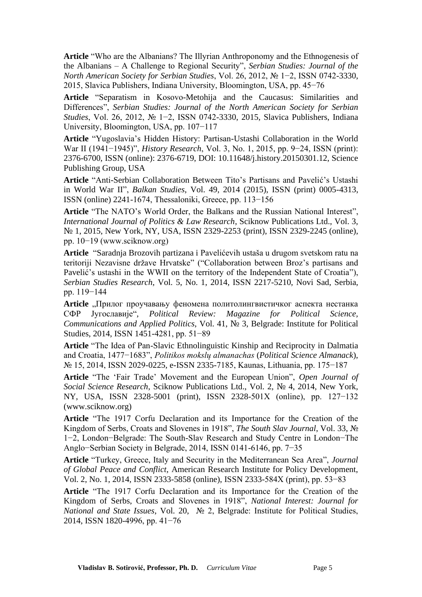**Article** "Who are the Albanians? The Illyrian Anthroponomy and the Ethnogenesis of the Albanians – A Challenge to Regional Security", *Serbian Studies: Journal of the North American Society for Serbian Studies*, Vol. 26, 2012, № 1−2, ISSN 0742-3330, 2015, Slavica Publishers, Indiana University, Bloomington, USA, pp. 45−76

**Article** "Separatism in Kosovo-Metohija and the Caucasus: Similarities and Differences", *Serbian Studies: Journal of the North American Society for Serbian Studies*, Vol. 26, 2012, № 1−2, ISSN 0742-3330, 2015, Slavica Publishers, Indiana University, Bloomington, USA, pp. 107−117

**Article** "Yugoslavia's Hidden History: Partisan-Ustashi Collaboration in the World War II (1941−1945)", *History Research*, Vol. 3, No. 1, 2015, pp. 9−24, ISSN (print): 2376-6700, ISSN (online): 2376-6719, DOI: 10.11648/j.history.20150301.12, Science Publishing Group, USA

**Article** "Anti-Serbian Collaboration Between Tito's Partisans and Pavelić's Ustashi in World War II", *Balkan Studies*, Vol. 49, 2014 (2015), ISSN (print) 0005-4313, ISSN (online) 2241-1674, Thessaloniki, Greece, pp. 113−156

**Article** "The NATO's World Order, the Balkans and the Russian National Interest", *International Journal of Politics & Law Research*, Sciknow Publications Ltd., Vol. 3, № 1, 2015, New York, NY, USA, ISSN 2329-2253 (print), ISSN 2329-2245 (online), pp. 10−19 (www.sciknow.org)

**Article** "Saradnja Brozovih partizana i Pavelićevih ustaša u drugom svetskom ratu na teritoriji Nezavisne države Hrvatske" ("Collaboration between Broz's partisans and Pavelić's ustashi in the WWII on the territory of the Independent State of Croatia"), *Serbian Studies Research*, Vol. 5, No. 1, 2014, ISSN 2217-5210, Novi Sad, Serbia, pp. 119−144

**Article** "Прилог проучавању феномена политолингвистичког аспекта нестанка СФР Југославије", *Political Review: Magazine for Political Science, Communications and Applied Politics*, Vol. 41, № 3, Belgrade: Institute for Political Studies, 2014, ISSN 1451-4281, pp. 51−89

**Article** "The Idea of Pan-Slavic Ethnolinguistic Kinship and Reciprocity in Dalmatia and Croatia, 1477−1683", *Politikos mokslų almanachas* (*Political Science Almanack*), № 15, 2014, ISSN 2029-0225, e-ISSN 2335-7185, Kaunas, Lithuania, pp. 175−187

**Article** "The 'Fair Trade' Movement and the European Union", *Open Journal of Social Science Research*, Sciknow Publications Ltd., Vol. 2, № 4, 2014, New York, NY, USA, ISSN 2328-5001 (print), ISSN 2328-501X (online), pp. 127−132 (www.sciknow.org)

**Article** "The 1917 Corfu Declaration and its Importance for the Creation of the Kingdom of Serbs, Croats and Slovenes in 1918", *The South Slav Journal*, Vol. 33, № 1−2, London−Belgrade: The South-Slav Research and Study Centre in London−The Anglo−Serbian Society in Belgrade, 2014, ISSN 0141-6146, pp. 7−35

**Article** "Turkey, Greece, Italy and Security in the Mediterranean Sea Area", *Journal of Global Peace and Conflict*, American Research Institute for Policy Development, Vol. 2, No. 1, 2014, ISSN 2333-5858 (online), ISSN 2333-584X (print), pp. 53−83

**Article** "The 1917 Corfu Declaration and its Importance for the Creation of the Kingdom of Serbs, Croats and Slovenes in 1918", *National Interest: Journal for National and State Issues*, Vol. 20, № 2, Belgrade: Institute for Political Studies, 2014, ISSN 1820-4996, pp. 41−76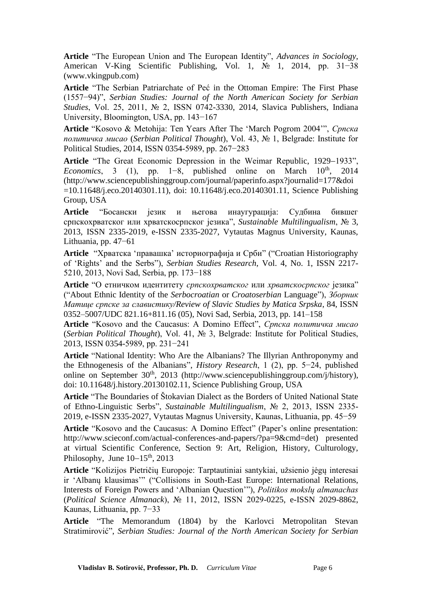**Article** "The European Union and The European Identity", *Advances in Sociology*, American V-King Scientific Publishing, Vol. 1, № 1, 2014, pp. 31−38 (www.vkingpub.com)

**Article** "The Serbian Patriarchate of Peć in the Ottoman Empire: The First Phase (1557−94)", *Serbian Studies: Journal of the North American Society for Serbian Studies*, Vol. 25, 2011, № 2, ISSN 0742-3330, 2014, Slavica Publishers, Indiana University, Bloomington, USA, pp. 143−167

**Article** "Kosovo & Metohija: Ten Years After The 'March Pogrom 2004'", *Српска политичка мисао* (*Serbian Political Thought*), Vol. 43, № 1, Belgrade: Institute for Political Studies, 2014, ISSN 0354-5989, pp. 267−283

**Article** "The Great Economic Depression in the Weimar Republic, 1929−1933", *Economics*, 3 (1), pp. 1–8, published online on March 10<sup>th</sup>, 2014 (http://www.sciencepublishinggroup.com/journal/paperinfo.aspx?journalid=177&doi =10.11648/j.eco.20140301.11), doi: 10.11648/j.eco.20140301.11, Science Publishing Group, USA

**Article** "Босански језик и његова инаугурација: Судбина бившег српскохрватског или хрватскосрпског језика", *Sustainable Multilingualism*, № 3, 2013, ISSN 2335-2019, e-ISSN 2335-2027, Vytautas Magnus University, Kaunas, Lithuania, pp. 47−61

**Article** "Хрватска 'правашка' историографија и Срби" ("Croatian Historiography of 'Rights' and the Serbs"), *Serbian Studies Research*, Vol. 4, No. 1, ISSN 2217- 5210, 2013, Novi Sad, Serbia, pp. 173−188

**Article** "О етничком идентитету *српскохрватског* или *хрватскосрпског* језика" ("About Ethnic Identity of the *Serbocroatian* or *Croatoserbian* Language"), *Зборник Матице српске за славистику/Review of Slavic Studies by Matica Srpska*, 84, ISSN 0352–5007/UDC 821.16+811.16 (05), Novi Sad, Serbia, 2013, pp. 141–158

**Article** "Kosovo and the Caucasus: A Domino Effect", *Српска политичка мисао*  (*Serbian Political Thought*), Vol. 41, № 3, Belgrade: Institute for Political Studies, 2013, ISSN 0354-5989, pp. 231−241

**Article** "National Identity: Who Are the Albanians? The Illyrian Anthroponymy and the Ethnogenesis of the Albanians", *History Research*, 1 (2), pp. 5−24, published online on September  $30<sup>th</sup>$ ,  $2013$  (http://www.sciencepublishinggroup.com/j/history), doi: 10.11648/j.history.20130102.11, Science Publishing Group, USA

**Article** "The Boundaries of Štokavian Dialect as the Borders of United National State of Ethno-Linguistic Serbs", *Sustainable Multilingualism*, № 2, 2013, ISSN 2335- 2019, e-ISSN 2335-2027, Vytautas Magnus University, Kaunas, Lithuania, pp. 45−59

**Article** "Kosovo and the Caucasus: A Domino Effect" (Paper's online presentation: http://www.scieconf.com/actual-conferences-and-papers/?pa=9&cmd=det) presented at virtual Scientific Conference, Section 9: Art, Religion, History, Culturology, Philosophy, June 10−15<sup>th</sup>, 2013

**Article** "Kolizijos Pietričių Europoje: Tarptautiniai santykiai, užsienio jėgų interesai ir 'Albanų klausimas'" ("Collisions in South-East Europe: International Relations, Interests of Foreign Powers and 'Albanian Question'"), *Politikos mokslų almanachas*  (*Political Science Almanack*), № 11, 2012, ISSN 2029-0225, e-ISSN 2029-8862, Kaunas, Lithuania, pp. 7−33

**Article** "The Memorandum (1804) by the Karlovci Metropolitan Stevan Stratimirović", *Serbian Studies: Journal of the North American Society for Serbian*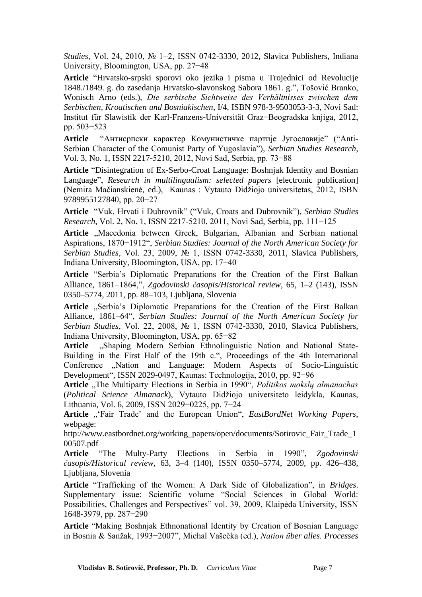*Studies*, Vol. 24, 2010, № 1−2, ISSN 0742-3330, 2012, Slavica Publishers, Indiana University, Bloomington, USA, pp. 27−48

**Article** "Hrvatsko-srpski sporovi oko jezika i pisma u Trojednici od Revolucije 1848./1849. g. do zasedanja Hrvatsko-slavonskog Sabora 1861. g.", Tošović Branko, Wonisch Arno (eds.), *Die serbische Sichtweise des Verhältnisses zwischen dem Serbischen, Kroatischen und Bosniakischen*, I/4, ISBN 978-3-9503053-3-3, Novi Sad: Institut für Slawistik der Karl-Franzens-Universität Graz−Beogradska knjiga, 2012, pp. 503−523

**Article** "Антисрпски карактер Комунистичке партије Југославије" ("Anti-Serbian Character of the Comunist Party of Yugoslavia"), *Serbian Studies Research*, Vol. 3, No. 1, ISSN 2217-5210, 2012, Novi Sad, Serbia, pp. 73−88

**Article** "Disintegration of Ex-Serbo-Croat Language: Boshnjak Identity and Bosnian Language", *Research in multilingualism: selected papers* [electronic publication] (Nemira Mačianskienė, ed.), Kaunas : Vytauto Didžiojo universitetas, 2012, ISBN 9789955127840, pp. 20−27

**Article** "Vuk, Hrvati i Dubrovnik" ("Vuk, Croats and Dubrovnik"), *Serbian Studies Research*, Vol. 2, No. 1, ISSN 2217-5210, 2011, Novi Sad, Serbia, pp. 111−125

Article "Macedonia between Greek, Bulgarian, Albanian and Serbian national Aspirations, 1870−1912", *Serbian Studies: Journal of the North American Society for Serbian Studies*, Vol. 23, 2009, № 1, ISSN 0742-3330, 2011, Slavica Publishers, Indiana University, Bloomington, USA, pp. 17−40

**Article** "Serbia's Diplomatic Preparations for the Creation of the First Balkan Alliance, 1861−1864,", *Zgodovinski časopis/Historical review*, 65, 1–2 (143), ISSN 0350–5774, 2011, pp. 88–103, Ljubljana, Slovenia

Article "Serbia's Diplomatic Preparations for the Creation of the First Balkan Alliance, 1861–64", *Serbian Studies: Journal of the North American Society for Serbian Studies*, Vol. 22, 2008, № 1, ISSN 0742-3330, 2010, Slavica Publishers, Indiana University, Bloomington, USA, pp. 65−82

Article ..Shaping Modern Serbian Ethnolinguistic Nation and National State-Building in the First Half of the 19th c.", Proceedings of the 4th International Conference "Nation and Language: Modern Aspects of Socio-Linguistic Development", ISSN 2029-0497, Kaunas: Technologija, 2010, pp. 92−96

Article "The Multiparty Elections in Serbia in 1990", *Politikos mokslų almanachas* (*Political Science Almanack*), Vytauto Didžiojo universiteto leidykla, Kaunas, Lithuania, Vol. 6, 2009, ISSN 2029−0225, pp. 7−24

Article "'Fair Trade' and the European Union", *EastBordNet Working Papers*, webpage:

http://www.eastbordnet.org/working\_papers/open/documents/Sotirovic\_Fair\_Trade\_1 00507.pdf

**Article** "The Multy-Party Elections in Serbia in 1990", *Zgodovinski časopis/Historical review*, 63, 3–4 (140), ISSN 0350–5774, 2009, pp. 426–438, Ljubljana, Slovenia

**Article** "Trafficking of the Women: A Dark Side of Globalization", in *Bridges*. Supplementary issue: Scientific volume "Social Sciences in Global World: Possibilities, Challenges and Perspectives" vol. 39, 2009, Klaipėda University, ISSN 1648-3979, pp. 287−290

**Article** "Making Boshnjak Ethnonational Identity by Creation of Bosnian Language in Bosnia & Sanžak, 1993−2007", Michal Vašečka (ed.), *Nation über alles. Processes*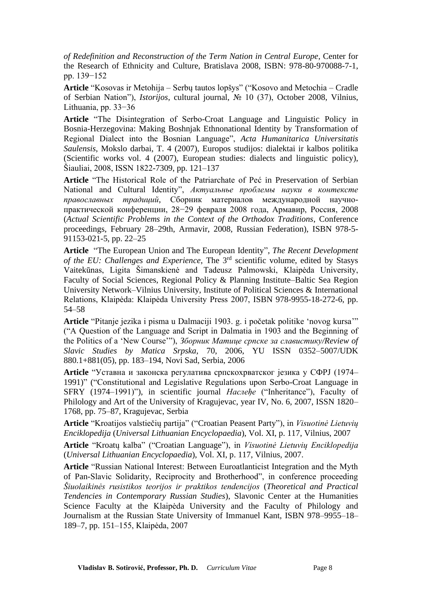*of Redefinition and Reconstruction of the Term Nation in Central Europe*, Center for the Research of Ethnicity and Culture, Bratislava 2008, ISBN: 978-80-970088-7-1, pp. 139−152

**Article** "Kosovas ir Metohija – Serbų tautos lopšys" ("Kosovo and Metochia – Cradle of Serbian Nation"), *Istorijos*, cultural journal, № 10 (37), October 2008, Vilnius, Lithuania, pp. 33−36

**Article** "The Disintegration of Serbo-Croat Language and Linguistic Policy in Bosnia-Herzegovina: Making Boshnjak Ethnonational Identity by Transformation of Regional Dialect into the Bosnian Language", *Acta Humanitarica Universitatis Saulensis*, Mokslo darbai, T. 4 (2007), Europos studijos: dialektai ir kalbos politika (Scientific works vol. 4 (2007), European studies: dialects and linguistic policy), Šiauliai, 2008, ISSN 1822-7309, pp. 121–137

**Article** "The Historical Role of the Patriarchate of Peć in Preservation of Serbian National and Cultural Identity", *Актуальнье проблемы науки в контексте православных традиций*, Сборник материалов международной научнопрактической конференции, 28−29 февраля 2008 года, Армавир, Россия, 2008 (*Actual Scientific Problems in the Context of the Orthodox Traditions*, Conference proceedings, February 28–29th, Armavir, 2008, Russian Federation), ISBN 978-5- 91153-021-5, pp. 22–25

**Article** "The European Union and The European Identity", *The Recent Development of the EU: Challenges and Experience*, The 3rd scientific volume, edited by Stasys Vaitekūnas, Ligita Šimanskienė and Tadeusz Palmowski, Klaipėda University, Faculty of Social Sciences, Regional Policy & Planning Institute–Baltic Sea Region University Network–Vilnius University, Institute of Political Sciences & International Relations, Klaipėda: Klaipėda University Press 2007, ISBN 978-9955-18-272-6, pp. 54–58

**Article** "Pitanje jezika i pisma u Dalmaciji 1903. g. i početak politike 'novog kursa'" ("A Question of the Language and Script in Dalmatia in 1903 and the Beginning of the Politics of a 'New Course'"), *Зборник Матице српске за славистику/Review of Slavic Studies by Matica Srpska*, 70, 2006, YU ISSN 0352–5007/UDK 880.1+881(05), pp. 183–194, Novi Sad, Serbia, 2006

**Article** "Уставна и законска регулатива српскохрватског језика у СФРЈ (1974– 1991)" ("Constitutional and Legislative Regulations upon Serbo-Croat Language in SFRY (1974–1991)"), in scientific journal *Наслеђе* ("Inheritance"), Faculty of Philology and Art of the University of Kragujevac, year IV, No. 6, 2007, ISSN 1820– 1768, pp. 75–87, Kragujevac, Serbia

**Article** "Kroatijos valstiečių partija" ("Croatian Peasent Party"), in *Visuotinė Lietuvių Enciklopedija* (*Universal Lithuanian Encyclopaedia*), Vol. XI, p. 117, Vilnius, 2007

**Article** "Kroatų kalba" ("Croatian Language"), in *Visuotinė Lietuvių Enciklopedija* (*Universal Lithuanian Encyclopaedia*), Vol. XI, p. 117, Vilnius, 2007.

**Article** "Russian National Interest: Between Euroatlanticist Integration and the Myth of Pan-Slavic Solidarity, Reciprocity and Brotherhood", in conference proceeding *Šiuolaikinės rusistikos teorijos ir praktikos tendencijos* (*Theoretical and Practical Tendencies in Contemporary Russian Studies*), Slavonic Center at the Humanities Science Faculty at the Klaipėda University and the Faculty of Philology and Journalism at the Russian State University of Immanuel Kant, ISBN 978–9955–18– 189–7, pp. 151–155, Klaipėda, 2007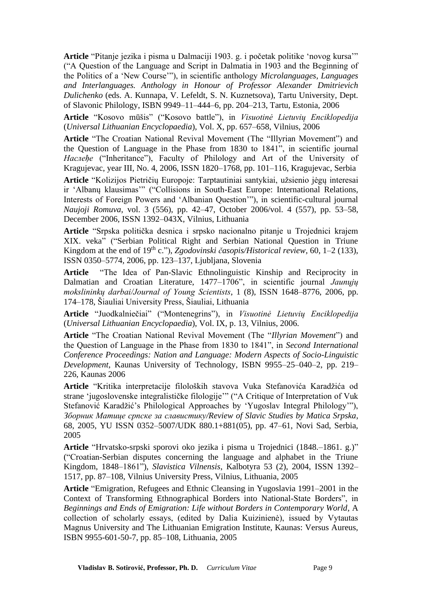**Article** "Pitanje jezika i pisma u Dalmaciji 1903. g. i početak politike 'novog kursa'" ("A Question of the Language and Script in Dalmatia in 1903 and the Beginning of the Politics of a 'New Course'"), in scientific anthology *Microlanguages, Languages and Interlanguages. Anthology in Honour of Professor Alexander Dmitrievich Dulichenko* (eds. A. Kunnapa, V. Lefeldt, S. N. Kuznetsova), Tartu University, Dept. of Slavonic Philology, ISBN 9949–11–444–6, pp. 204–213, Tartu, Estonia, 2006

**Article** "Kosovo mūšis" ("Kosovo battle"), in *Visuotinė Lietuvių Enciklopedija* (*Universal Lithuanian Encyclopaedia*), Vol. X, pp. 657–658, Vilnius, 2006

**Article** "The Croatian National Revival Movement (The "Illyrian Movement") and the Question of Language in the Phase from 1830 to 1841", in scientific journal *Наслеђе* ("Inheritance"), Faculty of Philology and Art of the University of Kragujevac, year III, No. 4, 2006, ISSN 1820–1768, pp. 101–116, Kragujevac, Serbia

**Article** "Kolizijos Pietričių Europoje: Tarptautiniai santykiai, užsienio jėgų interesai ir 'Albanų klausimas'" ("Collisions in South-East Europe: International Relations, Interests of Foreign Powers and 'Albanian Question'"), in scientific-cultural journal *Naujoji Romuva*, vol. 3 (556), pp. 42–47, October 2006/vol. 4 (557), pp. 53–58, December 2006, ISSN 1392–043X, Vilnius, Lithuania

**Article** "Srpska politička desnica i srpsko nacionalno pitanje u Trojednici krajem XIX. veka" ("Serbian Political Right and Serbian National Question in Triune Kingdom at the end of 19<sup>th</sup> c."), *Zgodovinski časopis/Historical review*, 60, 1–2 (133), ISSN 0350–5774, 2006, pp. 123–137, Ljubljana, Slovenia

**Article** "The Idea of Pan-Slavic Ethnolinguistic Kinship and Reciprocity in Dalmatian and Croatian Literature, 1477–1706", in scientific journal *Jaunųjų mokslininkų darbai/Journal of Young Scientists*, 1 (8), ISSN 1648–8776, 2006, pp. 174–178, Šiauliai University Press, Šiauliai, Lithuania

**Article** "Juodkalniečiai" ("Montenegrins"), in *Visuotinė Lietuvių Enciklopedija* (*Universal Lithuanian Encyclopaedia*), Vol. IX, p. 13, Vilnius, 2006.

**Article** "The Croatian National Revival Movement (The "*Illyrian Movement*") and the Question of Language in the Phase from 1830 to 1841", in *Second International Conference Proceedings: Nation and Language: Modern Aspects of Socio-Linguistic Development*, Kaunas University of Technology, ISBN 9955–25–040–2, pp. 219– 226, Kaunas 2006

**Article** "Kritika interpretacije filoloških stavova Vuka Stefanovića Karadžića od strane 'jugoslovenske integralističke filologije'" ("A Critique of Interpretation of Vuk Stefanović Karadžić's Philological Approaches by 'Yugoslav Integral Philology'"), *Зборник Матице српске за славистику/Review of Slavic Studies by Matica Srpska*, 68, 2005, YU ISSN 0352–5007/UDK 880.1+881(05), pp. 47–61, Novi Sad, Serbia, 2005

**Article** "Hrvatsko-srpski sporovi oko jezika i pisma u Trojednici (1848.–1861. g.)" ("Croatian-Serbian disputes concerning the language and alphabet in the Triune Kingdom, 1848–1861"), *Slavistica Vilnensis*, Kalbotyra 53 (2), 2004, ISSN 1392– 1517, pp. 87–108, Vilnius University Press, Vilnius, Lithuania, 2005

**Article** "Emigration, Refugees and Ethnic Cleansing in Yugoslavia 1991–2001 in the Context of Transforming Ethnographical Borders into National-State Borders", in *Beginnings and Ends of Emigration: Life without Borders in Contemporary World*, A collection of scholarly essays, (edited by Dalia Kuizinienė), issued by Vytautas Magnus University and The Lithuanian Emigration Institute, Kaunas: Versus Aureus, ISBN 9955-601-50-7, pp. 85–108, Lithuania, 2005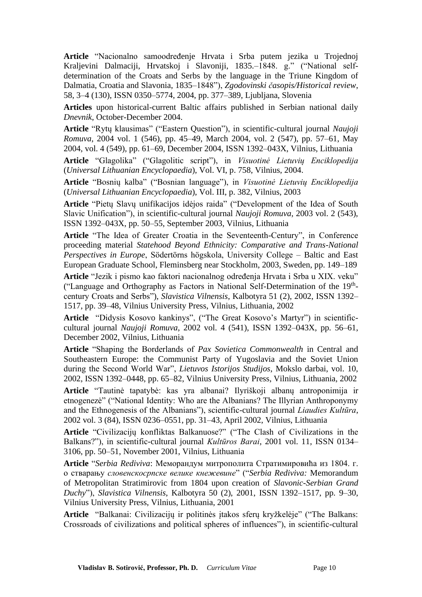**Article** "Nacionalno samoodređenje Hrvata i Srba putem jezika u Trojednoj Kraljevini Dalmaciji, Hrvatskoj i Slavoniji, 1835.–1848. g." ("National selfdetermination of the Croats and Serbs by the language in the Triune Kingdom of Dalmatia, Croatia and Slavonia, 1835–1848"), *Zgodovinski časopis/Historical review*, 58, 3–4 (130), ISSN 0350–5774, 2004, pp. 377–389, Ljubljana, Slovenia

**Articles** upon historical-current Baltic affairs published in Serbian national daily *Dnevnik*, October-December 2004.

**Article** "Rytų klausimas" ("Eastern Question"), in scientific-cultural journal *Naujoji Romuva*, 2004 vol. 1 (546), pp. 45–49, March 2004, vol. 2 (547), pp. 57–61, May 2004, vol. 4 (549), pp. 61–69, December 2004, ISSN 1392–043X, Vilnius, Lithuania

**Article** "Glagolika" ("Glagolitic script"), in *Visuotinė Lietuvių Enciklopedija* (*Universal Lithuanian Encyclopaedia*), Vol. VI, p. 758, Vilnius, 2004.

**Article** "Bosnių kalba" ("Bosnian language"), in *Visuotinė Lietuvių Enciklopedija* (*Universal Lithuanian Encyclopaedia*), Vol. III, p. 382, Vilnius, 2003

**Article** "Pietų Slavų unifikacijos idėjos raida" ("Development of the Idea of South Slavic Unification"), in scientific-cultural journal *Naujoji Romuva*, 2003 vol. 2 (543), ISSN 1392–043X, pp. 50–55, September 2003, Vilnius, Lithuania

**Article** "The Idea of Greater Croatia in the Seventeenth-Century", in Conference proceeding material *Statehood Beyond Ethnicity: Comparative and Trans-National Perspectives in Europe*, Södertörns högskola, University College – Baltic and East European Graduate School, Fleminsberg near Stockholm, 2003, Sweden, pp. 149–189

**Article** "Jezik i pismo kao faktori nacionalnog određenja Hrvata i Srba u XIX. veku" ("Language and Orthography as Factors in National Self-Determination of the 19<sup>th</sup>century Croats and Serbs"), *Slavistica Vilnensis*, Kalbotyra 51 (2), 2002, ISSN 1392– 1517, pp. 39–48, Vilnius University Press, Vilnius, Lithuania, 2002

**Article** "Didysis Kosovo kankinys", ("The Great Kosovo's Martyr") in scientificcultural journal *Naujoji Romuva*, 2002 vol. 4 (541), ISSN 1392–043X, pp. 56–61, December 2002, Vilnius, Lithuania

**Article** "Shaping the Borderlands of *Pax Sovietica Commonwealth* in Central and Southeastern Europe: the Communist Party of Yugoslavia and the Soviet Union during the Second World War", *Lietuvos Istorijos Studijos*, Mokslo darbai, vol. 10, 2002, ISSN 1392–0448, pp. 65–82, Vilnius University Press, Vilnius, Lithuania, 2002

**Article** "Tautinė tapatybė: kas yra albanai? Ilyriškoji albanų antroponimija ir etnogenezė" ("National Identity: Who are the Albanians? The Illyrian Anthroponymy and the Ethnogenesis of the Albanians"), scientific-cultural journal *Liaudies Kultūra*, 2002 vol. 3 (84), ISSN 0236–0551, pp. 31–43, April 2002, Vilnius, Lithuania

**Article** "Civilizacijų konfliktas Balkanuose?" ("The Clash of Civilizations in the Balkans?"), in scientific-cultural journal *Kultūros Barai*, 2001 vol. 11, ISSN 0134– 3106, pp. 50–51, November 2001, Vilnius, Lithuania

**Article** "*Serbia Rediviva*: Меморандум митрополита Стратимировића из 1804. г. о стварању *словенскосрпске велике кнежевине*" ("*Serbia Rediviva:* Memorandum of Metropolitan Stratimirovic from 1804 upon creation of *Slavonic-Serbian Grand Duchy*"), *Slavistica Vilnensis*, Kalbotyra 50 (2), 2001, ISSN 1392–1517, pp. 9–30, Vilnius University Press, Vilnius, Lithuania, 2001

**Article** "Balkanai: Civilizacijų ir politinės įtakos sferų kryžkelėje" ("The Balkans: Crossroads of civilizations and political spheres of influences"), in scientific-cultural